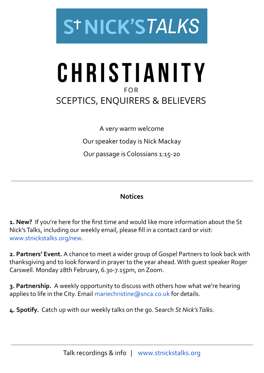

## CHRISTIANITY **FOR SCEPTICS, ENQUIRERS & BELIEVERS**

A very warm welcome Our speaker today is Nick Mackay Our passage is Colossians 1:15-20

## **Notices**

**1. New?** If you're here for the first time and would like more information about the St Nick's Talks, including our weekly email, please fill in a contact card or visit: [www.stnickstalks.org/new](http://www.stnickstalks.org/new).

**2. Partners' Event.** A chance to meet a wider group of Gospel Partners to look back with thanksgiving and to look forward in prayer to the year ahead. With guest speaker Roger Carswell. Monday 28th February, 6.30-7.15pm, on Zoom.

**3. Partnership.** A weekly opportunity to discuss with others how what we're hearing applies to life in the City. Email mariechristine (@snca.co.uk for details.

**4. Spotify.** Catch up with our weekly talks on the go. Search *St Nick's Talks.*